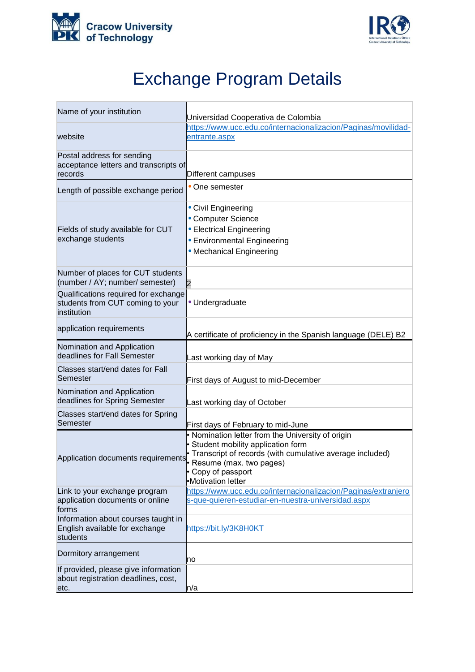



## Exchange Program Details

| Name of your institution                                                                | Universidad Cooperativa de Colombia                                                                                                                                                                |
|-----------------------------------------------------------------------------------------|----------------------------------------------------------------------------------------------------------------------------------------------------------------------------------------------------|
|                                                                                         | https://www.ucc.edu.co/internacionalizacion/Paginas/movilidad-                                                                                                                                     |
| website                                                                                 | entrante.aspx                                                                                                                                                                                      |
| Postal address for sending<br>acceptance letters and transcripts of<br>records          | Different campuses                                                                                                                                                                                 |
| Length of possible exchange period                                                      | • One semester                                                                                                                                                                                     |
| Fields of study available for CUT<br>exchange students                                  | • Civil Engineering<br>• Computer Science<br>• Electrical Engineering<br>• Environmental Engineering<br>• Mechanical Engineering                                                                   |
| Number of places for CUT students<br>(number / AY; number/ semester)                    | $\overline{2}$                                                                                                                                                                                     |
| Qualifications required for exchange<br>students from CUT coming to your<br>institution | · Undergraduate                                                                                                                                                                                    |
| application requirements                                                                | A certificate of proficiency in the Spanish language (DELE) B2                                                                                                                                     |
| Nomination and Application<br>deadlines for Fall Semester                               | Last working day of May                                                                                                                                                                            |
| Classes start/end dates for Fall<br>Semester                                            | First days of August to mid-December                                                                                                                                                               |
| Nomination and Application<br>deadlines for Spring Semester                             | Last working day of October                                                                                                                                                                        |
| Classes start/end dates for Spring<br>Semester                                          | First days of February to mid-June                                                                                                                                                                 |
| Application documents requirements Resume (max. two pages)                              | • Nomination letter from the University of origin<br>• Student mobility application form<br>• Transcript of records (with cumulative average included)<br>• Copy of passport<br>•Motivation letter |
| Link to your exchange program<br>application documents or online<br>forms               | https://www.ucc.edu.co/internacionalizacion/Paginas/extranjero<br>s-que-quieren-estudiar-en-nuestra-universidad.aspx                                                                               |
| Information about courses taught in<br>English available for exchange<br>students       | https://bit.ly/3K8H0KT                                                                                                                                                                             |
| Dormitory arrangement                                                                   | no                                                                                                                                                                                                 |
| If provided, please give information<br>about registration deadlines, cost,<br>etc.     | ln/a                                                                                                                                                                                               |
|                                                                                         |                                                                                                                                                                                                    |